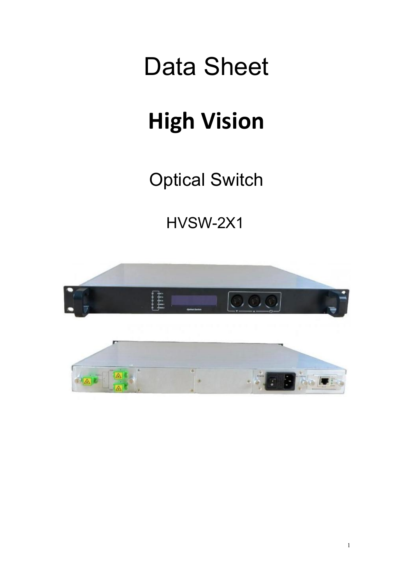# Data Sheet

## **High Vision**

Optical Switch

HVSW-2X1

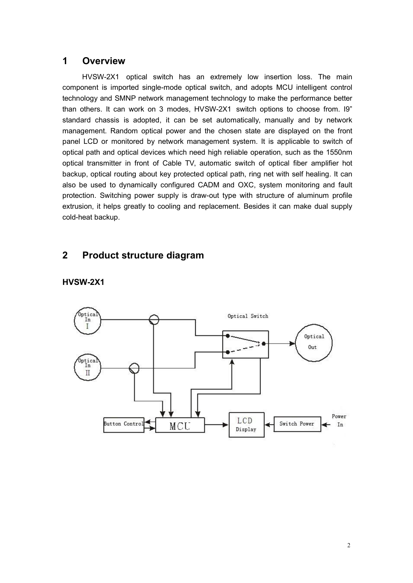#### **1 Overview**

**Overview**<br>HVSW-2X1 optical switch has an extremely low insertion loss. The main<br>phent is imported single-mode optical switch, and adopts MCU intelligent control<br>plogy and SMNP network management technology to make the per **COVETVIEW**<br>
HVSW-2X1 optical switch has an extremely low insertion loss. The main<br>
component is imported single-mode optical switch, and adopts MCU intelligent control<br>
technology and SMNP network management technology to 1 **Overview**<br>
HVSW-2X1 optical switch has an extremely low insertion loss. The main<br>
component is imported single-mode optical switch, and adopts MCU intelligent control<br>
technology and SMNP network management technology t 1 **Overview**<br>
HVSW-2X1 optical switch has an extremely low insertion loss. The main<br>
component is imported single-mode optical switch, and adopts MCU intelligent control<br>
than others. It can work on 3 modes, HVSW-2X1 switc **Standard chassis is adopted, it can be set automatically, manually and solution** populal switch, and adopts MCU intelligent control technology and SMNP network management technology to make the performance better than oth 1 **Overview**<br>
HVSW-2X1 optical switch has an extremely low insertion loss. The main<br>
component is imported single-mode optical switch, and adopts MCU intelligent control<br>
technology and SMNP network management technology t **1 Overview**<br>
HVSW-2X1 optical switch has an extremely low insertion loss. The main<br>
component is imported single-mode optical switch, and adopts MCU intelligent control<br>
technology and SMNP network management technology t **1 Overview**<br>
HVSW-2X1 optical switch has an extremely low insertion loss. The main<br>
component is imported single-mode optical switch, and adopts MCU intelligent control<br>
technology and SMNP network management technology t **1 Overview**<br>
HVSW-2X1 optical switch has an extremely low insertion loss. The main<br>
component is imported single-mode optical switch, and adopts MCU intelligent control<br>
technology and SMNP network management technology t HVSW-2X1 optical switch has an extremely low insertion loss. The main<br>component is imported single-mode optical switch, and adopts MCU intelligent control<br>technology and SMNP network management technology to make the perfo Frow-Y.A. Puplical switch interest and extremely low insertion loss. The linear<br>component is imported single-mode optical switch, and adopts MCU intelligent control<br>technology and SMNP network management technology to make component is imported single-incous operative through wat allows with a may be the performance better than others. It can work on 3 modes, HVSW-2X1 switch options to choose from. I9" standard chassis is adopted, it can be eculinology and Show Thelework Indiagement technology to make the periodinate better. It can work on 3 modes, HVSW-2X1 switch options to choose from. I9"<br>standard chassis is adopted, it can be set automatically, manually a man offers. It can work on 3 modes, Hy<br>standard chassis is adopted, it can be s<br>management. Random optical power and<br>panel LCD or monitored by network mana<br>optical path and optical devices which need<br>optical transmitter in

#### **2 Product structure diagram**



#### **HVSW-2X1**